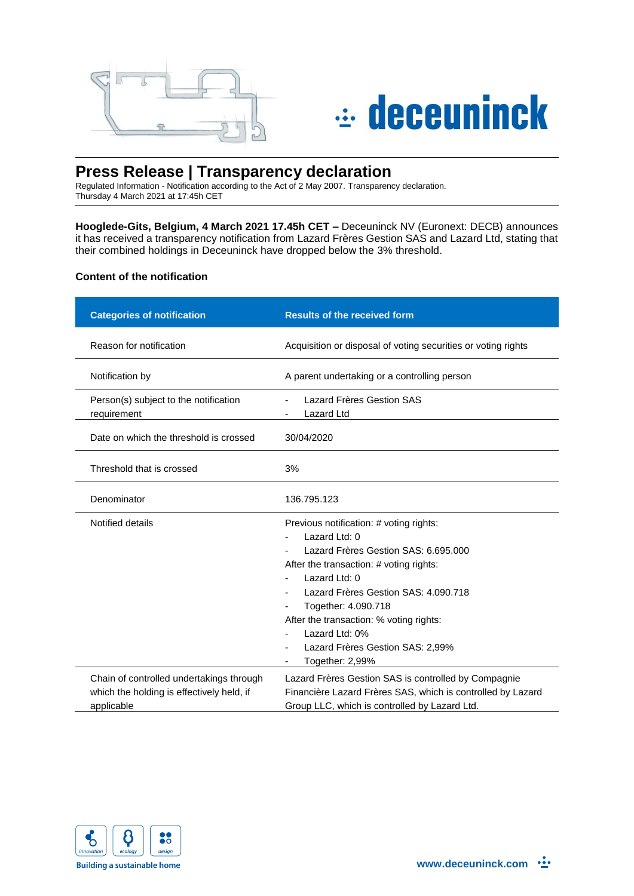



# **Press Release | Transparency declaration**

Regulated Information - Notification according to the Act of 2 May 2007. Transparency declaration. Thursday 4 March 2021 at 17:45h CET

**Hooglede-Gits, Belgium, 4 March 2021 17.45h CET –** Deceuninck NV (Euronext: DECB) announces it has received a transparency notification from Lazard Frères Gestion SAS and Lazard Ltd, stating that their combined holdings in Deceuninck have dropped below the 3% threshold.

## **Content of the notification**

| <b>Categories of notification</b>                                                                   | <b>Results of the received form</b>                                                                                                                                                                                                                                                                                                             |
|-----------------------------------------------------------------------------------------------------|-------------------------------------------------------------------------------------------------------------------------------------------------------------------------------------------------------------------------------------------------------------------------------------------------------------------------------------------------|
| Reason for notification                                                                             | Acquisition or disposal of voting securities or voting rights                                                                                                                                                                                                                                                                                   |
| Notification by                                                                                     | A parent undertaking or a controlling person                                                                                                                                                                                                                                                                                                    |
| Person(s) subject to the notification<br>requirement                                                | Lazard Frères Gestion SAS<br><b>Lazard Ltd</b>                                                                                                                                                                                                                                                                                                  |
| Date on which the threshold is crossed                                                              | 30/04/2020                                                                                                                                                                                                                                                                                                                                      |
| Threshold that is crossed                                                                           | 3%                                                                                                                                                                                                                                                                                                                                              |
| Denominator                                                                                         | 136.795.123                                                                                                                                                                                                                                                                                                                                     |
| Notified details                                                                                    | Previous notification: # voting rights:<br>Lazard Ltd: 0<br>Lazard Frères Gestion SAS: 6.695.000<br>After the transaction: # voting rights:<br>Lazard Ltd: 0<br>Lazard Frères Gestion SAS: 4.090.718<br>Together: 4.090.718<br>After the transaction: % voting rights:<br>Lazard Ltd: 0%<br>Lazard Frères Gestion SAS: 2,99%<br>Together: 2,99% |
| Chain of controlled undertakings through<br>which the holding is effectively held, if<br>applicable | Lazard Frères Gestion SAS is controlled by Compagnie<br>Financière Lazard Frères SAS, which is controlled by Lazard<br>Group LLC, which is controlled by Lazard Ltd.                                                                                                                                                                            |